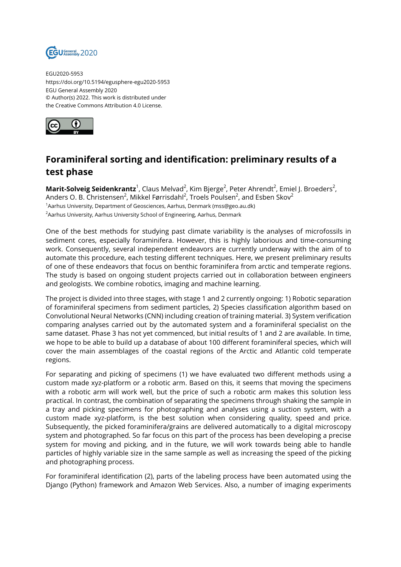

EGU2020-5953 https://doi.org/10.5194/egusphere-egu2020-5953 EGU General Assembly 2020 © Author(s) 2022. This work is distributed under the Creative Commons Attribution 4.0 License.



## **Foraminiferal sorting and identification: preliminary results of a test phase**

**Marit-Solveig Seidenkrantz**<sup>1</sup>, Claus Melvad<sup>2</sup>, Kim Bjerge<sup>2</sup>, Peter Ahrendt<sup>2</sup>, Emiel J. Broeders<sup>2</sup>, Anders O. B. Christensen $^2$ , Mikkel Førrisdahl $^2$ , Troels Poulsen $^2$ , and Esben Skov $^2$ <sup>1</sup>Aarhus University, Department of Geosciences, Aarhus, Denmark (mss@geo.au.dk) <sup>2</sup> Aarhus University, Aarhus University School of Engineering, Aarhus, Denmark

One of the best methods for studying past climate variability is the analyses of microfossils in sediment cores, especially foraminifera. However, this is highly laborious and time-consuming work. Consequently, several independent endeavors are currently underway with the aim of to automate this procedure, each testing different techniques. Here, we present preliminary results of one of these endeavors that focus on benthic foraminifera from arctic and temperate regions. The study is based on ongoing student projects carried out in collaboration between engineers and geologists. We combine robotics, imaging and machine learning.

The project is divided into three stages, with stage 1 and 2 currently ongoing: 1) Robotic separation of foraminiferal specimens from sediment particles, 2) Species classification algorithm based on Convolutional Neural Networks (CNN) including creation of training material. 3) System verification comparing analyses carried out by the automated system and a foraminiferal specialist on the same dataset. Phase 3 has not yet commenced, but initial results of 1 and 2 are available. In time, we hope to be able to build up a database of about 100 different foraminiferal species, which will cover the main assemblages of the coastal regions of the Arctic and Atlantic cold temperate regions.

For separating and picking of specimens (1) we have evaluated two different methods using a custom made xyz-platform or a robotic arm. Based on this, it seems that moving the specimens with a robotic arm will work well, but the price of such a robotic arm makes this solution less practical. In contrast, the combination of separating the specimens through shaking the sample in a tray and picking specimens for photographing and analyses using a suction system, with a custom made xyz-platform, is the best solution when considering quality, speed and price. Subsequently, the picked foraminifera/grains are delivered automatically to a digital microscopy system and photographed. So far focus on this part of the process has been developing a precise system for moving and picking, and in the future, we will work towards being able to handle particles of highly variable size in the same sample as well as increasing the speed of the picking and photographing process.

For foraminiferal identification (2), parts of the labeling process have been automated using the Django (Python) framework and Amazon Web Services. Also, a number of imaging experiments